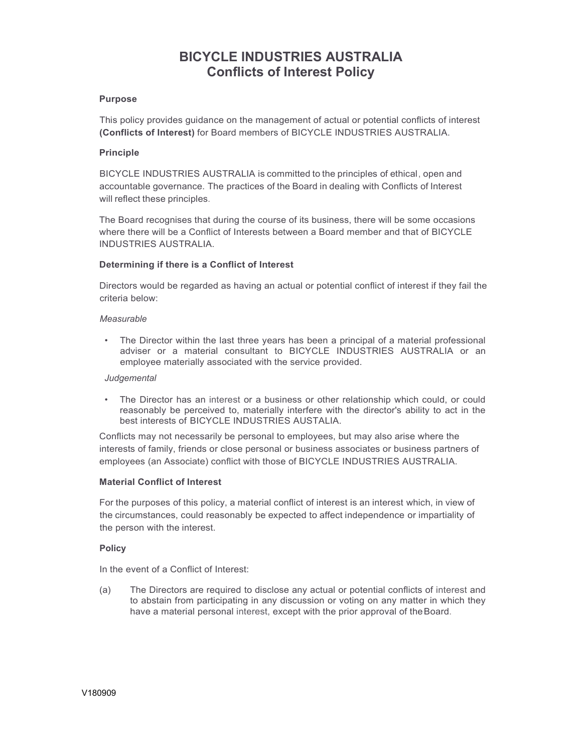# **BICYCLE INDUSTRIES AUSTRALIA Conflicts of Interest Policy**

## **Purpose**

This policy provides guidance on the management of actual or potential conflicts of interest **(Conflicts of Interest)** for Board members of BICYCLE INDUSTRIES AUSTRALIA.

## **Principle**

BICYCLE INDUSTRIES AUSTRALIA is committed to the principles of ethical, open and accountable governance. The practices of the Board in dealing with Conflicts of Interest will reflect these principles.

The Board recognises that during the course of its business, there will be some occasions where there will be a Conflict of Interests between a Board member and that of BICYCLE INDUSTRIES AUSTRALIA.

## **Determining if there is a Conflict of Interest**

Directors would be regarded as having an actual or potential conflict of interest if they fail the criteria below:

#### *Measurable*

• The Director within the last three years has been a principal of a material professional adviser or a material consultant to BICYCLE INDUSTRIES AUSTRALIA or an employee materially associated with the service provided.

#### *Judgemental*

• The Director has an interest or a business or other relationship which could, or could reasonably be perceived to, materially interfere with the director's ability to act in the best interests of BICYCLE INDUSTRIES AUSTALIA.

Conflicts may not necessarily be personal to employees, but may also arise where the interests of family, friends or close personal or business associates or business partners of employees (an Associate) conflict with those of BICYCLE INDUSTRIES AUSTRALIA.

### **Material Conflict of Interest**

For the purposes of this policy, a material conflict of interest is an interest which, in view of the circumstances, could reasonably be expected to affect independence or impartiality of the person with the interest.

#### **Policy**

In the event of a Conflict of Interest:

(a) The Directors are required to disclose any actual or potential conflicts of interest and to abstain from participating in any discussion or voting on any matter in which they have a material personal interest, except with the prior approval of the Board.